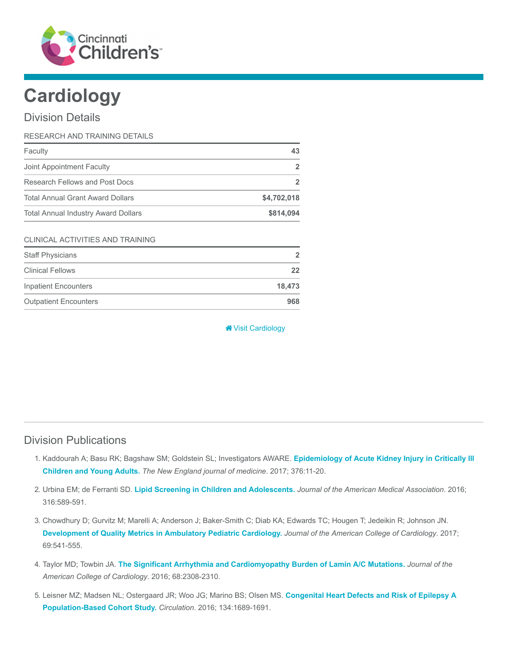

# **Cardiology**

#### Division Details

| RESEARCH AND TRAINING DETAILS              |             |
|--------------------------------------------|-------------|
| Faculty                                    | 43          |
| Joint Appointment Faculty                  |             |
| Research Fellows and Post Docs             |             |
| <b>Total Annual Grant Award Dollars</b>    | \$4,702,018 |
| <b>Total Annual Industry Award Dollars</b> | \$814,094   |

#### CLINICAL ACTIVITIES AND TRAINING

| <b>Staff Physicians</b>      | $\mathcal{P}$ |
|------------------------------|---------------|
| <b>Clinical Fellows</b>      | 22            |
| <b>Inpatient Encounters</b>  | 18.473        |
| <b>Outpatient Encounters</b> | 968           |

**W** [Visit Cardiology](https://www.cincinnatichildrens.org/research/divisions/c/cardiology)

### Division Publications

- 1. [Kaddourah A; Basu RK; Bagshaw SM; Goldstein SL; Investigators AWARE.](https://www.ncbi.nlm.nih.gov/pubmed/27959707) Epidemiology of Acute Kidney Injury in Critically III Children and Young Adults. The New England journal of medicine. 2017; 376:11-20.
- 2. Urbina EM; de Ferranti SD. [Lipid Screening in Children and Adolescents.](https://www.ncbi.nlm.nih.gov/pubmed/27532913) Journal of the American Medical Association. 2016; 316:589-591.
- 3. Chowdhury D; Gurvitz M; Marelli A; Anderson J; Baker-Smith C; Diab KA; Edwards TC; Hougen T; Jedeikin R; Johnson JN. [Development of Quality Metrics in Ambulatory Pediatric Cardiology.](https://www.ncbi.nlm.nih.gov/pubmed/28153110) Journal of the American College of Cardiology. 2017; 69:541-555.
- 4. Taylor MD; Towbin JA. [The Significant Arrhythmia and Cardiomyopathy Burden of Lamin A/C Mutations.](https://www.ncbi.nlm.nih.gov/pubmed/27884250) Journal of the American College of Cardiology. 2016; 68:2308-2310.
- 5. [Leisner MZ; Madsen NL; Ostergaard JR; Woo JG; Marino BS; Olsen MS.](https://www.ncbi.nlm.nih.gov/pubmed/27881510) Congenital Heart Defects and Risk of Epilepsy A Population-Based Cohort Study. Circulation. 2016; 134:1689-1691.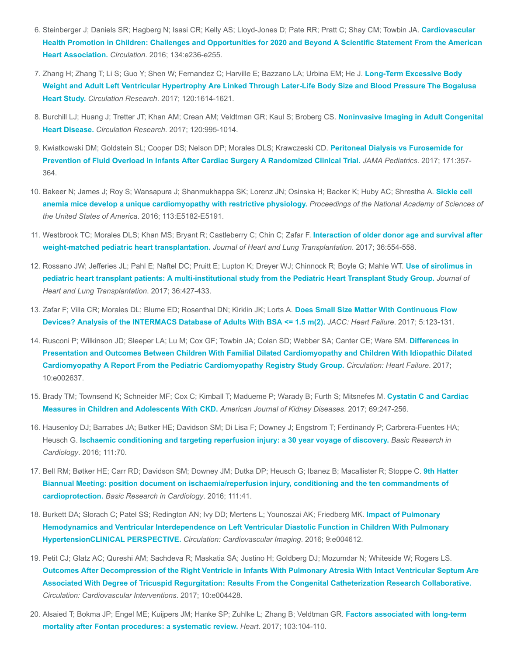- 6. [Steinberger J; Daniels SR; Hagberg N; Isasi CR; Kelly AS; Lloyd-Jones D; Pate RR; Pratt C; Shay CM; Towbin JA.](https://www.ncbi.nlm.nih.gov/pubmed/27515136) Cardiovascular Health Promotion in Children: Challenges and Opportunities for 2020 and Beyond A Scientific Statement From the American Heart Association. Circulation. 2016; 134:e236-e255.
- 7. Zhang H; Zhang T; Li S; Guo Y; Shen W; Fernandez C; Harville E; Bazzano LA; Urbina EM; He J. Long-Term Excessive Body [Weight and Adult Left Ventricular Hypertrophy Are Linked Through Later-Life Body Size and Blood Pressure The Bogalusa](https://www.ncbi.nlm.nih.gov/pubmed/28232594) Heart Study. Circulation Research. 2017; 120:1614-1621.
- 8. [Burchill LJ; Huang J; Tretter JT; Khan AM; Crean AM; Veldtman GR; Kaul S; Broberg CS.](https://www.ncbi.nlm.nih.gov/pubmed/28302744) Noninvasive Imaging in Adult Congenital Heart Disease. Circulation Research. 2017; 120:995-1014.
- 9. [Kwiatkowski DM; Goldstein SL; Cooper DS; Nelson DP; Morales DLS; Krawczeski CD.](https://www.ncbi.nlm.nih.gov/pubmed/28241247) Peritoneal Dialysis vs Furosemide for Prevention of Fluid Overload in Infants After Cardiac Surgery A Randomized Clinical Trial. JAMA Pediatrics. 2017; 171:357- 364.
- 10. [Bakeer N; James J; Roy S; Wansapura J; Shanmukhappa SK; Lorenz JN; Osinska H; Backer K; Huby AC; Shrestha A.](https://www.ncbi.nlm.nih.gov/pubmed/27503873) Sickle cell anemia mice develop a unique cardiomyopathy with restrictive physiology. Proceedings of the National Academy of Sciences of the United States of America. 2016; 113:E5182-E5191.
- 11. [Westbrook TC; Morales DLS; Khan MS; Bryant R; Castleberry C; Chin C; Zafar F.](https://www.ncbi.nlm.nih.gov/pubmed/28073609) Interaction of older donor age and survival after weight-matched pediatric heart transplantation. Journal of Heart and Lung Transplantation. 2017; 36:554-558.
- 12. [Rossano JW; Jefferies JL; Pahl E; Naftel DC; Pruitt E; Lupton K; Dreyer WJ; Chinnock R; Boyle G; Mahle WT.](https://www.ncbi.nlm.nih.gov/pubmed/28029575) Use of sirolimus in pediatric heart transplant patients: A multi-institutional study from the Pediatric Heart Transplant Study Group. Journal of Heart and Lung Transplantation. 2017; 36:427-433.
- 13. [Zafar F; Villa CR; Morales DL; Blume ED; Rosenthal DN; Kirklin JK; Lorts A.](https://www.ncbi.nlm.nih.gov/pubmed/27816511) Does Small Size Matter With Continuous Flow Devices? Analysis of the INTERMACS Database of Adults With BSA <= 1.5 m(2). JACC: Heart Failure. 2017; 5:123-131.
- 14. [Rusconi P; Wilkinson JD; Sleeper LA; Lu M; Cox GF; Towbin JA; Colan SD; Webber SA; Canter CE; Ware SM.](https://www.ncbi.nlm.nih.gov/pubmed/28193717) Differences in Presentation and Outcomes Between Children With Familial Dilated Cardiomyopathy and Children With Idiopathic Dilated Cardiomyopathy A Report From the Pediatric Cardiomyopathy Registry Study Group. Circulation: Heart Failure. 2017; 10:e002637.
- 15. [Brady TM; Townsend K; Schneider MF; Cox C; Kimball T; Madueme P; Warady B; Furth S; Mitsnefes M.](https://www.ncbi.nlm.nih.gov/pubmed/27856090) Cystatin C and Cardiac Measures in Children and Adolescents With CKD. American Journal of Kidney Diseases. 2017; 69:247-256.
- 16. Hausenloy DJ; Barrabes JA; Bøtker HE; Davidson SM; Di Lisa F; Downey J; Engstrom T; Ferdinandy P; Carbrera-Fuentes HA; Heusch G. [Ischaemic conditioning and targeting reperfusion injury: a 30 year voyage of discovery.](https://www.ncbi.nlm.nih.gov/pubmed/27766474) Basic Research in Cardiology. 2016; 111:70.
- 17. [Bell RM; Bøtker HE; Carr RD; Davidson SM; Downey JM; Dutka DP; Heusch G; Ibanez B; Macallister R; Stoppe C.](https://www.ncbi.nlm.nih.gov/pubmed/27164905) 9th Hatter Biannual Meeting: position document on ischaemia/reperfusion injury, conditioning and the ten commandments of cardioprotection. Basic Research in Cardiology. 2016; 111:41.
- 18. Burkett DA; Slorach C; Patel SS; Redington AN; Ivy DD; Mertens L; Younoszai AK; Friedberg MK. Impact of Pulmonary [Hemodynamics and Ventricular Interdependence on Left Ventricular Diastolic Function in Children With Pulmonary](https://www.ncbi.nlm.nih.gov/pubmed/27581953) HypertensionCLINICAL PERSPECTIVE. Circulation: Cardiovascular Imaging. 2016; 9:e004612.
- 19. Petit CJ; Glatz AC; Qureshi AM; Sachdeva R; Maskatia SA; Justino H; Goldberg DJ; Mozumdar N; Whiteside W; Rogers LS. [Outcomes After Decompression of the Right Ventricle in Infants With Pulmonary Atresia With Intact Ventricular Septum Are](https://www.ncbi.nlm.nih.gov/pubmed/28500137) Associated With Degree of Tricuspid Regurgitation: Results From the Congenital Catheterization Research Collaborative. Circulation: Cardiovascular Interventions. 2017; 10:e004428.
- 20. [Alsaied T; Bokma JP; Engel ME; Kuijpers JM; Hanke SP; Zuhlke L; Zhang B; Veldtman GR.](https://www.ncbi.nlm.nih.gov/pubmed/28057809) Factors associated with long-term mortality after Fontan procedures: a systematic review. Heart. 2017; 103:104-110.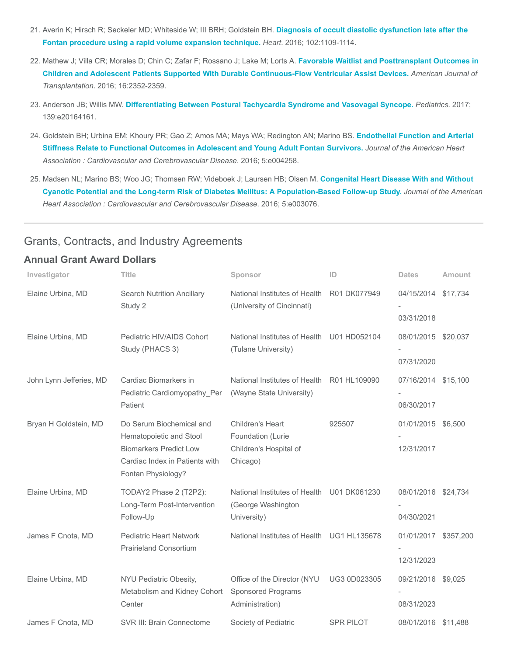- 21. [Averin K; Hirsch R; Seckeler MD; Whiteside W; III BRH; Goldstein BH.](https://www.ncbi.nlm.nih.gov/pubmed/26917538) Diagnosis of occult diastolic dysfunction late after the Fontan procedure using a rapid volume expansion technique. Heart. 2016; 102:1109-1114.
- 22. Mathew J; Villa CR; Morales D; Chin C; Zafar F; Rossano J; Lake M; Lorts A. Favorable Waitlist and Posttransplant Outcomes in [Children and Adolescent Patients Supported With Durable Continuous-Flow Ventricular Assist Devices.](https://www.ncbi.nlm.nih.gov/pubmed/26841727) American Journal of Transplantation. 2016; 16:2352-2359.
- 23. Anderson JB; Willis MW. [Differentiating Between Postural Tachycardia Syndrome and Vasovagal Syncope.](https://www.ncbi.nlm.nih.gov/pubmed/28351847) Pediatrics. 2017; 139:e20164161.
- 24. [Goldstein BH; Urbina EM; Khoury PR; Gao Z; Amos MA; Mays WA; Redington AN; Marino BS.](https://www.ncbi.nlm.nih.gov/pubmed/27664807) Endothelial Function and Arterial Stiffness Relate to Functional Outcomes in Adolescent and Young Adult Fontan Survivors. Journal of the American Heart Association : Cardiovascular and Cerebrovascular Disease. 2016; 5:e004258.
- 25. Madsen NL; Marino BS; Woo JG; Thomsen RW; Videboek J; Laursen HB; Olsen M. Congenital Heart Disease With and Without [Cyanotic Potential and the Long-term Risk of Diabetes Mellitus: A Population-Based Follow-up Study.](https://www.ncbi.nlm.nih.gov/pubmed/27402234) Journal of the American Heart Association : Cardiovascular and Cerebrovascular Disease. 2016; 5:e003076.

#### Grants, Contracts, and Industry Agreements

#### Annual Grant Award Dollars

| Investigator            | <b>Title</b>                                                                                                                                 | Sponsor                                                                         | ID               | <b>Dates</b>                       | Amount |
|-------------------------|----------------------------------------------------------------------------------------------------------------------------------------------|---------------------------------------------------------------------------------|------------------|------------------------------------|--------|
| Elaine Urbina, MD       | <b>Search Nutrition Ancillary</b><br>Study 2                                                                                                 | National Institutes of Health R01 DK077949<br>(University of Cincinnati)        |                  | 04/15/2014 \$17,734<br>03/31/2018  |        |
| Elaine Urbina, MD       | Pediatric HIV/AIDS Cohort<br>Study (PHACS 3)                                                                                                 | National Institutes of Health U01 HD052104<br>(Tulane University)               |                  | 08/01/2015 \$20,037<br>07/31/2020  |        |
| John Lynn Jefferies, MD | Cardiac Biomarkers in<br>Pediatric Cardiomyopathy_Per<br>Patient                                                                             | National Institutes of Health<br>(Wayne State University)                       | R01 HL109090     | 07/16/2014 \$15,100<br>06/30/2017  |        |
| Bryan H Goldstein, MD   | Do Serum Biochemical and<br>Hematopoietic and Stool<br><b>Biomarkers Predict Low</b><br>Cardiac Index in Patients with<br>Fontan Physiology? | Children's Heart<br>Foundation (Lurie<br>Children's Hospital of<br>Chicago)     | 925507           | 01/01/2015 \$6,500<br>12/31/2017   |        |
| Elaine Urbina, MD       | TODAY2 Phase 2 (T2P2):<br>Long-Term Post-Intervention<br>Follow-Up                                                                           | National Institutes of Health U01 DK061230<br>(George Washington<br>University) |                  | 08/01/2016 \$24,734<br>04/30/2021  |        |
| James F Cnota, MD       | <b>Pediatric Heart Network</b><br><b>Prairieland Consortium</b>                                                                              | National Institutes of Health UG1 HL135678                                      |                  | 01/01/2017 \$357,200<br>12/31/2023 |        |
| Elaine Urbina, MD       | NYU Pediatric Obesity,<br>Metabolism and Kidney Cohort<br>Center                                                                             | Office of the Director (NYU<br><b>Sponsored Programs</b><br>Administration)     | UG3 0D023305     | 09/21/2016 \$9,025<br>08/31/2023   |        |
| James F Cnota, MD       | SVR III: Brain Connectome                                                                                                                    | Society of Pediatric                                                            | <b>SPR PILOT</b> | 08/01/2016 \$11,488                |        |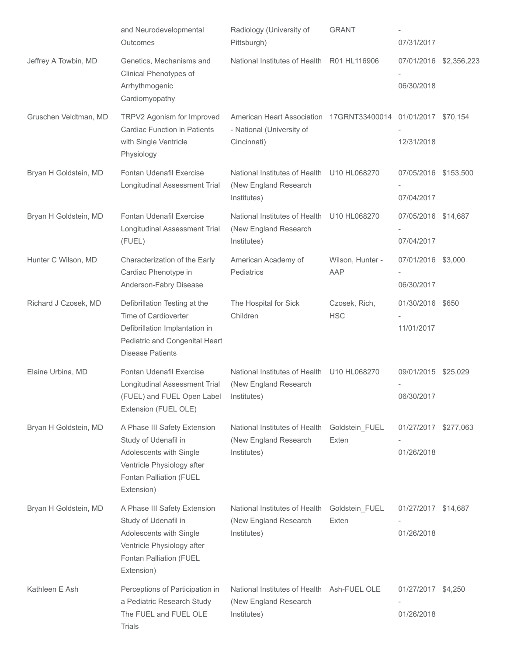|                       | and Neurodevelopmental<br>Outcomes                                                                                                                     | Radiology (University of<br>Pittsburgh)                                                                   | <b>GRANT</b>                | 07/31/2017                           |  |
|-----------------------|--------------------------------------------------------------------------------------------------------------------------------------------------------|-----------------------------------------------------------------------------------------------------------|-----------------------------|--------------------------------------|--|
| Jeffrey A Towbin, MD  | Genetics, Mechanisms and<br>Clinical Phenotypes of<br>Arrhythmogenic<br>Cardiomyopathy                                                                 | National Institutes of Health                                                                             | R01 HL116906                | 07/01/2016 \$2,356,223<br>06/30/2018 |  |
| Gruschen Veldtman, MD | TRPV2 Agonism for Improved<br><b>Cardiac Function in Patients</b><br>with Single Ventricle<br>Physiology                                               | American Heart Association 17GRNT33400014 01/01/2017 \$70,154<br>- National (University of<br>Cincinnati) |                             | 12/31/2018                           |  |
| Bryan H Goldstein, MD | Fontan Udenafil Exercise<br>Longitudinal Assessment Trial                                                                                              | National Institutes of Health U10 HL068270<br>(New England Research<br>Institutes)                        |                             | 07/05/2016 \$153,500<br>07/04/2017   |  |
| Bryan H Goldstein, MD | Fontan Udenafil Exercise<br>Longitudinal Assessment Trial<br>(FUEL)                                                                                    | National Institutes of Health U10 HL068270<br>(New England Research<br>Institutes)                        |                             | 07/05/2016 \$14,687<br>07/04/2017    |  |
| Hunter C Wilson, MD   | Characterization of the Early<br>Cardiac Phenotype in<br>Anderson-Fabry Disease                                                                        | American Academy of<br>Pediatrics                                                                         | Wilson, Hunter -<br>AAP     | 07/01/2016 \$3,000<br>06/30/2017     |  |
| Richard J Czosek, MD  | Defibrillation Testing at the<br>Time of Cardioverter<br>Defibrillation Implantation in<br>Pediatric and Congenital Heart<br><b>Disease Patients</b>   | The Hospital for Sick<br>Children                                                                         | Czosek, Rich,<br><b>HSC</b> | 01/30/2016 \$650<br>11/01/2017       |  |
| Elaine Urbina, MD     | Fontan Udenafil Exercise<br>Longitudinal Assessment Trial<br>(FUEL) and FUEL Open Label Institutes)<br>Extension (FUEL OLE)                            | National Institutes of Health U10 HL068270<br>(New England Research                                       |                             | 09/01/2015 \$25,029<br>06/30/2017    |  |
| Bryan H Goldstein, MD | A Phase III Safety Extension<br>Study of Udenafil in<br>Adolescents with Single<br>Ventricle Physiology after<br>Fontan Palliation (FUEL<br>Extension) | National Institutes of Health<br>(New England Research<br>Institutes)                                     | Goldstein_FUEL<br>Exten     | 01/27/2017 \$277,063<br>01/26/2018   |  |
| Bryan H Goldstein, MD | A Phase III Safety Extension<br>Study of Udenafil in<br>Adolescents with Single<br>Ventricle Physiology after<br>Fontan Palliation (FUEL<br>Extension) | National Institutes of Health<br>(New England Research<br>Institutes)                                     | Goldstein_FUEL<br>Exten     | 01/27/2017 \$14,687<br>01/26/2018    |  |
| Kathleen E Ash        | Perceptions of Participation in<br>a Pediatric Research Study<br>The FUEL and FUEL OLE<br><b>Trials</b>                                                | National Institutes of Health Ash-FUEL OLE<br>(New England Research<br>Institutes)                        |                             | 01/27/2017 \$4,250<br>01/26/2018     |  |